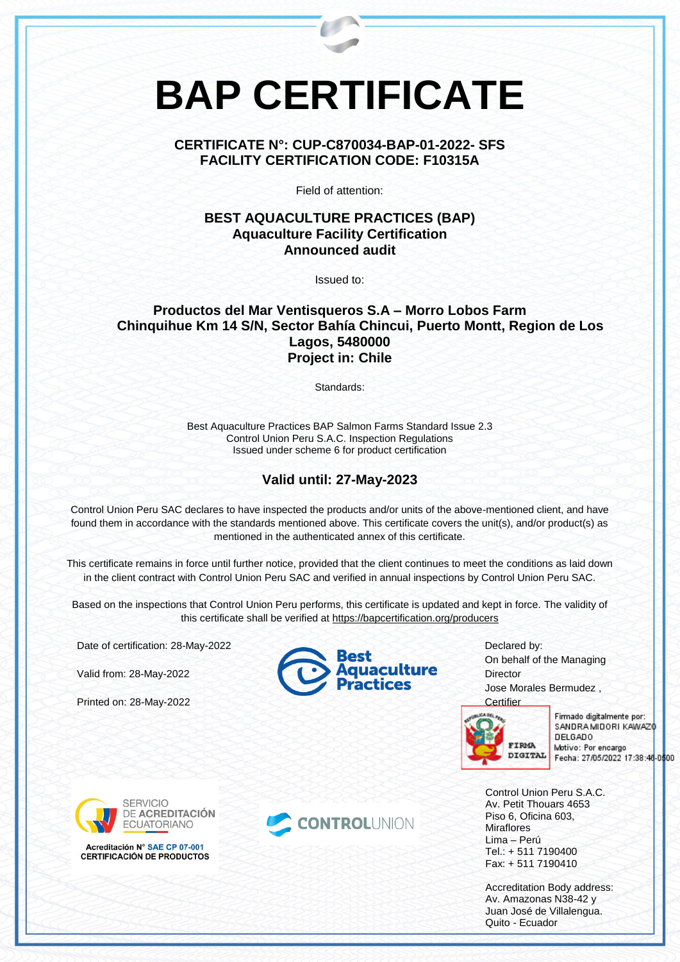# **BAP CERTIFICATE**

### **CERTIFICATE N°: CUP-C870034-BAP-01-2022- SFS FACILITY CERTIFICATION CODE: F10315A**

Field of attention:

### **BEST AQUACULTURE PRACTICES (BAP) Aquaculture Facility Certification Announced audit**

Issued to:

### **Productos del Mar Ventisqueros S.A – Morro Lobos Farm Chinquihue Km 14 S/N, Sector Bahía Chincui, Puerto Montt, Region de Los Lagos, 5480000 Project in: Chile**

Standards:

Best Aquaculture Practices BAP Salmon Farms Standard Issue 2.3 Control Union Peru S.A.C. Inspection Regulations Issued under scheme 6 for product certification

## **Valid until: 27-May-2023**

Control Union Peru SAC declares to have inspected the products and/or units of the above-mentioned client, and have found them in accordance with the standards mentioned above. This certificate covers the unit(s), and/or product(s) as mentioned in the authenticated annex of this certificate.

This certificate remains in force until further notice, provided that the client continues to meet the conditions as laid down in the client contract with Control Union Peru SAC and verified in annual inspections by Control Union Peru SAC.

Based on the inspections that Control Union Peru performs, this certificate is updated and kept in force. The validity of this certificate shall be verified at <https://bapcertification.org/producers>

Date of certification: 28-May-2022

Valid from: 28-May-2022

Printed on: 28-May-2022





Declared by: On behalf of the Managing **Director** Jose Morales Bermudez ,



Firmado digitalmente por: SANDRA MIDORI KAWAZO **DELGADO** Motivo: Por encargo Fecha: 27/05/2022 17:38:46-0500

Control Union Peru S.A.C. Av. Petit Thouars 4653 Piso 6, Oficina 603, **Miraflores** Lima – Perú Tel.: + 511 7190400 Fax: + 511 7190410

Accreditation Body address: Av. Amazonas N38-42 y Juan José de Villalengua. Quito - Ecuador